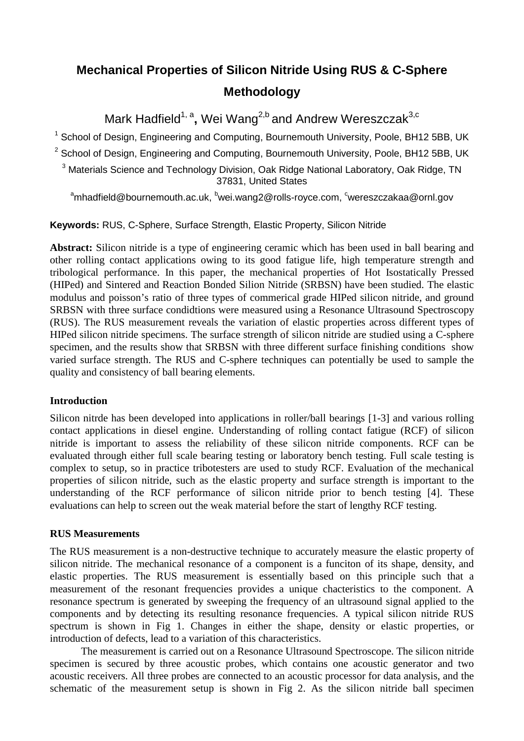# **Mechanical Properties of Silicon Nitride Using RUS & C-Sphere Methodology**

Mark Hadfield<sup>1, a</sup>, Wei Wang<sup>2,b</sup> and Andrew Wereszczak<sup>3,c</sup>

<sup>1</sup> School of Design, Engineering and Computing, Bournemouth University, Poole, BH12 5BB, UK

 $2$  School of Design, Engineering and Computing, Bournemouth University, Poole, BH12 5BB, UK

<sup>3</sup> Materials Science and Technology Division, Oak Ridge National Laboratory, Oak Ridge, TN 37831, United States

 $^{\circ}$ mhadfield@bournemouth.ac.uk,  $^{\rm b}$ wei.wang2@rolls-royce.com,  $^{\rm c}$ wereszczakaa@ornl.gov

**Keywords:** RUS, C-Sphere, Surface Strength, Elastic Property, Silicon Nitride

**Abstract:** Silicon nitride is a type of engineering ceramic which has been used in ball bearing and other rolling contact applications owing to its good fatigue life, high temperature strength and tribological performance. In this paper, the mechanical properties of Hot Isostatically Pressed (HIPed) and Sintered and Reaction Bonded Silion Nitride (SRBSN) have been studied. The elastic modulus and poisson's ratio of three types of commerical grade HIPed silicon nitride, and ground SRBSN with three surface condidtions were measured using a Resonance Ultrasound Spectroscopy (RUS). The RUS measurement reveals the variation of elastic properties across different types of HIPed silicon nitride specimens. The surface strength of silicon nitride are studied using a C-sphere specimen, and the results show that SRBSN with three different surface finishing conditions show varied surface strength. The RUS and C-sphere techniques can potentially be used to sample the quality and consistency of ball bearing elements.

## **Introduction**

Silicon nitrde has been developed into applications in roller/ball bearings [1-3] and various rolling contact applications in diesel engine. Understanding of rolling contact fatigue (RCF) of silicon nitride is important to assess the reliability of these silicon nitride components. RCF can be evaluated through either full scale bearing testing or laboratory bench testing. Full scale testing is complex to setup, so in practice tribotesters are used to study RCF. Evaluation of the mechanical properties of silicon nitride, such as the elastic property and surface strength is important to the understanding of the RCF performance of silicon nitride prior to bench testing [4]. These evaluations can help to screen out the weak material before the start of lengthy RCF testing.

## **RUS Measurements**

The RUS measurement is a non-destructive technique to accurately measure the elastic property of silicon nitride. The mechanical resonance of a component is a funciton of its shape, density, and elastic properties. The RUS measurement is essentially based on this principle such that a measurement of the resonant frequencies provides a unique chacteristics to the component. A resonance spectrum is generated by sweeping the frequency of an ultrasound signal applied to the components and by detecting its resulting resonance frequencies. A typical silicon nitride RUS spectrum is shown in Fig 1. Changes in either the shape, density or elastic properties, or introduction of defects, lead to a variation of this characteristics.

The measurement is carried out on a Resonance Ultrasound Spectroscope. The silicon nitride specimen is secured by three acoustic probes, which contains one acoustic generator and two acoustic receivers. All three probes are connected to an acoustic processor for data analysis, and the schematic of the measurement setup is shown in Fig 2. As the silicon nitride ball specimen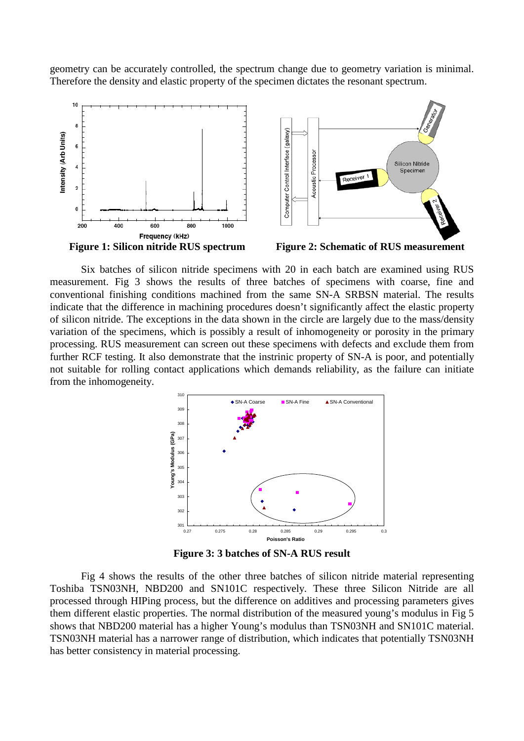geometry can be accurately controlled, the spectrum change due to geometry variation is minimal. Therefore the density and elastic property of the specimen dictates the resonant spectrum.



Six batches of silicon nitride specimens with 20 in each batch are examined using RUS measurement. Fig 3 shows the results of three batches of specimens with coarse, fine and conventional finishing conditions machined from the same SN-A SRBSN material. The results indicate that the difference in machining procedures doesn't significantly affect the elastic property of silicon nitride. The exceptions in the data shown in the circle are largely due to the mass/density variation of the specimens, which is possibly a result of inhomogeneity or porosity in the primary processing. RUS measurement can screen out these specimens with defects and exclude them from further RCF testing. It also demonstrate that the instrinic property of SN-A is poor, and potentially not suitable for rolling contact applications which demands reliability, as the failure can initiate from the inhomogeneity.



**Figure 3: 3 batches of SN-A RUS result**

Fig 4 shows the results of the other three batches of silicon nitride material representing Toshiba TSN03NH, NBD200 and SN101C respectively. These three Silicon Nitride are all processed through HIPing process, but the difference on additives and processing parameters gives them different elastic properties. The normal distribution of the measured young's modulus in Fig 5 shows that NBD200 material has a higher Young's modulus than TSN03NH and SN101C material. TSN03NH material has a narrower range of distribution, which indicates that potentially TSN03NH has better consistency in material processing.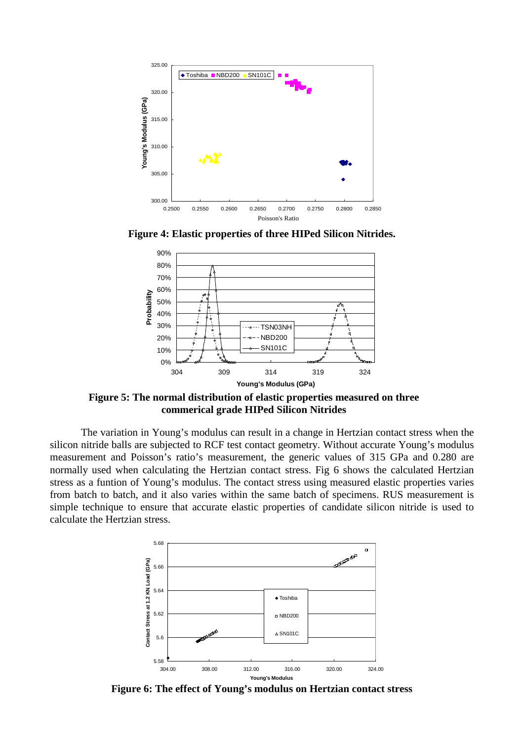

**Figure 4: Elastic properties of three HIPed Silicon Nitrides.**



**Figure 5: The normal distribution of elastic properties measured on three commerical grade HIPed Silicon Nitrides**

The variation in Young's modulus can result in a change in Hertzian contact stress when the silicon nitride balls are subjected to RCF test contact geometry. Without accurate Young's modulus measurement and Poisson's ratio's measurement, the generic values of 315 GPa and 0.280 are normally used when calculating the Hertzian contact stress. Fig 6 shows the calculated Hertzian stress as a funtion of Young's modulus. The contact stress using measured elastic properties varies from batch to batch, and it also varies within the same batch of specimens. RUS measurement is simple technique to ensure that accurate elastic properties of candidate silicon nitride is used to calculate the Hertzian stress.



**Figure 6: The effect of Young's modulus on Hertzian contact stress**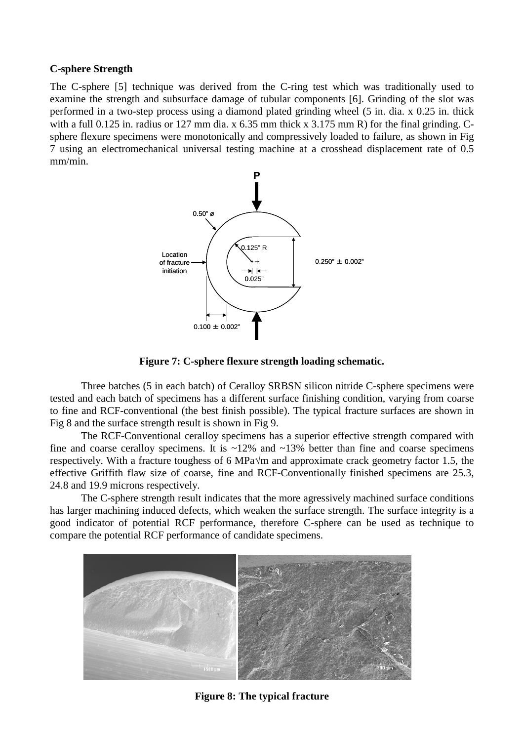### **C-sphere Strength**

The C-sphere [5] technique was derived from the C-ring test which was traditionally used to examine the strength and subsurface damage of tubular components [6]. Grinding of the slot was performed in a two-step process using a diamond plated grinding wheel (5 in. dia. x 0.25 in. thick with a full 0.125 in. radius or 127 mm dia. x 6.35 mm thick x 3.175 mm R) for the final grinding. Csphere flexure specimens were monotonically and compressively loaded to failure, as shown in Fig 7 using an electromechanical universal testing machine at a crosshead displacement rate of 0.5 mm/min.



**Figure 7: C-sphere flexure strength loading schematic.**

Three batches (5 in each batch) of Ceralloy SRBSN silicon nitride C-sphere specimens were tested and each batch of specimens has a different surface finishing condition, varying from coarse to fine and RCF-conventional (the best finish possible). The typical fracture surfaces are shown in Fig 8 and the surface strength result is shown in Fig 9.

The RCF-Conventional ceralloy specimens has a superior effective strength compared with fine and coarse ceralloy specimens. It is  $\sim$ 12% and  $\sim$ 13% better than fine and coarse specimens respectively. With a fracture toughess of 6 MPa $\sqrt{m}$  and approximate crack geometry factor 1.5, the effective Griffith flaw size of coarse, fine and RCF-Conventionally finished specimens are 25.3, 24.8 and 19.9 microns respectively.

The C-sphere strength result indicates that the more agressively machined surface conditions has larger machining induced defects, which weaken the surface strength. The surface integrity is a good indicator of potential RCF performance, therefore C-sphere can be used as technique to compare the potential RCF performance of candidate specimens.



**Figure 8: The typical fracture**